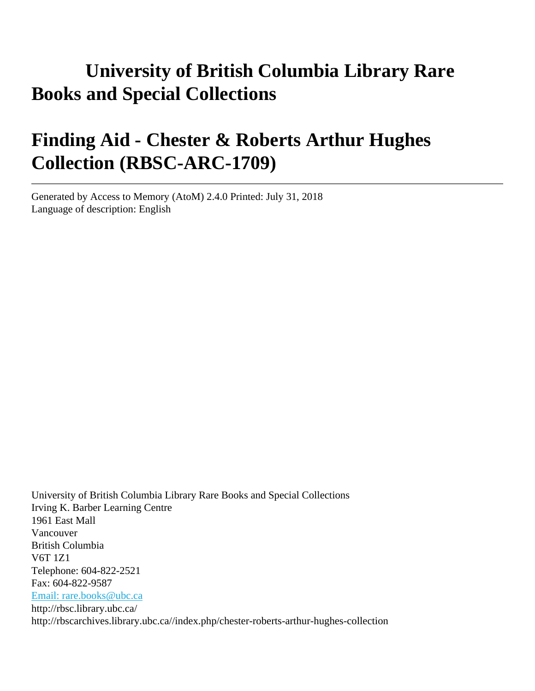# **University of British Columbia Library Rare Books and Special Collections**

# **Finding Aid - Chester & Roberts Arthur Hughes Collection (RBSC-ARC-1709)**

Generated by Access to Memory (AtoM) 2.4.0 Printed: July 31, 2018 Language of description: English

University of British Columbia Library Rare Books and Special Collections Irving K. Barber Learning Centre 1961 East Mall Vancouver British Columbia V6T 1Z1 Telephone: 604-822-2521 Fax: 604-822-9587 [Email: rare.books@ubc.ca](mailto:Email: rare.books@ubc.ca) http://rbsc.library.ubc.ca/ http://rbscarchives.library.ubc.ca//index.php/chester-roberts-arthur-hughes-collection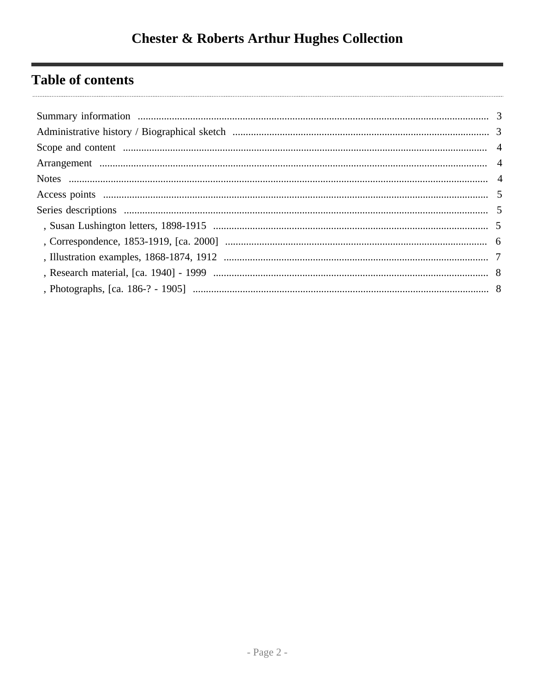# **Table of contents**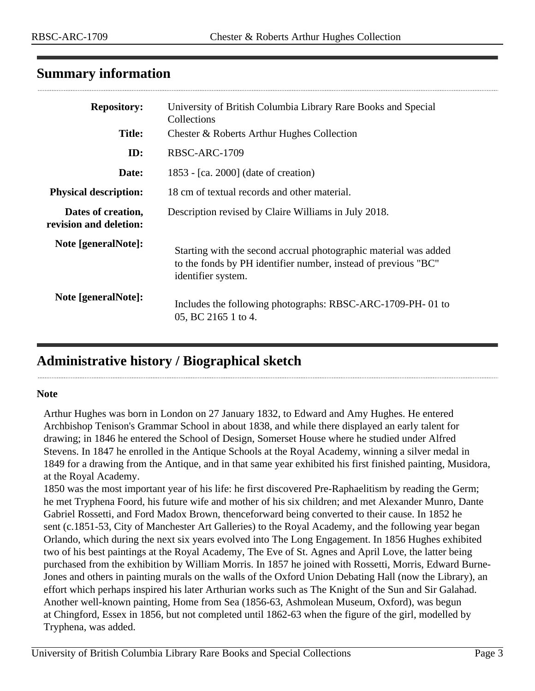## <span id="page-2-0"></span>**Summary information**

| <b>Repository:</b>                           | University of British Columbia Library Rare Books and Special<br>Collections                                                                             |  |  |
|----------------------------------------------|----------------------------------------------------------------------------------------------------------------------------------------------------------|--|--|
| <b>Title:</b>                                | Chester & Roberts Arthur Hughes Collection                                                                                                               |  |  |
| ID:                                          | RBSC-ARC-1709                                                                                                                                            |  |  |
| Date:                                        | 1853 - [ca. 2000] (date of creation)                                                                                                                     |  |  |
| <b>Physical description:</b>                 | 18 cm of textual records and other material.                                                                                                             |  |  |
| Dates of creation,<br>revision and deletion: | Description revised by Claire Williams in July 2018.                                                                                                     |  |  |
| Note [generalNote]:                          | Starting with the second accrual photographic material was added<br>to the fonds by PH identifier number, instead of previous "BC"<br>identifier system. |  |  |
| Note [generalNote]:                          | Includes the following photographs: RBSC-ARC-1709-PH-01 to<br>05, BC 2165 1 to 4.                                                                        |  |  |

## <span id="page-2-1"></span>**Administrative history / Biographical sketch**

#### **Note**

Arthur Hughes was born in London on 27 January 1832, to Edward and Amy Hughes. He entered Archbishop Tenison's Grammar School in about 1838, and while there displayed an early talent for drawing; in 1846 he entered the School of Design, Somerset House where he studied under Alfred Stevens. In 1847 he enrolled in the Antique Schools at the Royal Academy, winning a silver medal in 1849 for a drawing from the Antique, and in that same year exhibited his first finished painting, Musidora, at the Royal Academy.

1850 was the most important year of his life: he first discovered Pre-Raphaelitism by reading the Germ; he met Tryphena Foord, his future wife and mother of his six children; and met Alexander Munro, Dante Gabriel Rossetti, and Ford Madox Brown, thenceforward being converted to their cause. In 1852 he sent (c.1851-53, City of Manchester Art Galleries) to the Royal Academy, and the following year began Orlando, which during the next six years evolved into The Long Engagement. In 1856 Hughes exhibited two of his best paintings at the Royal Academy, The Eve of St. Agnes and April Love, the latter being purchased from the exhibition by William Morris. In 1857 he joined with Rossetti, Morris, Edward Burne-Jones and others in painting murals on the walls of the Oxford Union Debating Hall (now the Library), an effort which perhaps inspired his later Arthurian works such as The Knight of the Sun and Sir Galahad. Another well-known painting, Home from Sea (1856-63, Ashmolean Museum, Oxford), was begun at Chingford, Essex in 1856, but not completed until 1862-63 when the figure of the girl, modelled by Tryphena, was added.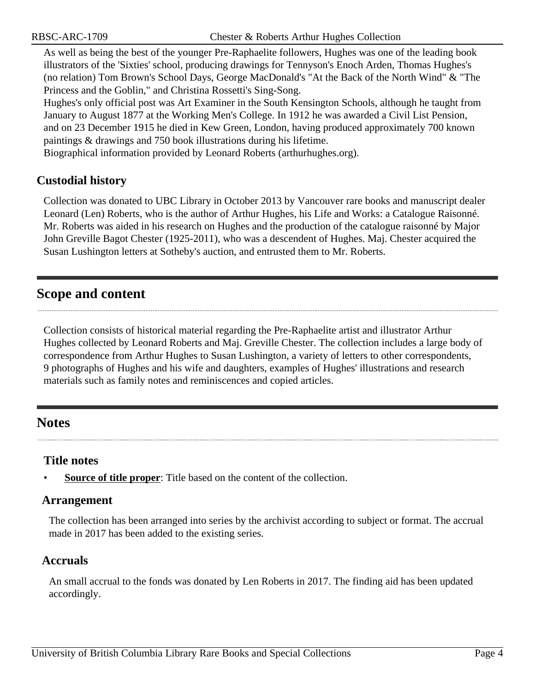As well as being the best of the younger Pre-Raphaelite followers, Hughes was one of the leading book illustrators of the 'Sixties' school, producing drawings for Tennyson's Enoch Arden, Thomas Hughes's (no relation) Tom Brown's School Days, George MacDonald's "At the Back of the North Wind" & "The Princess and the Goblin," and Christina Rossetti's Sing-Song.

Hughes's only official post was Art Examiner in the South Kensington Schools, although he taught from January to August 1877 at the Working Men's College. In 1912 he was awarded a Civil List Pension, and on 23 December 1915 he died in Kew Green, London, having produced approximately 700 known paintings & drawings and 750 book illustrations during his lifetime.

Biographical information provided by Leonard Roberts (arthurhughes.org).

#### **Custodial history**

Collection was donated to UBC Library in October 2013 by Vancouver rare books and manuscript dealer Leonard (Len) Roberts, who is the author of Arthur Hughes, his Life and Works: a Catalogue Raisonné. Mr. Roberts was aided in his research on Hughes and the production of the catalogue raisonné by Major John Greville Bagot Chester (1925-2011), who was a descendent of Hughes. Maj. Chester acquired the Susan Lushington letters at Sotheby's auction, and entrusted them to Mr. Roberts.

## <span id="page-3-0"></span>**Scope and content**

Collection consists of historical material regarding the Pre-Raphaelite artist and illustrator Arthur Hughes collected by Leonard Roberts and Maj. Greville Chester. The collection includes a large body of correspondence from Arthur Hughes to Susan Lushington, a variety of letters to other correspondents, 9 photographs of Hughes and his wife and daughters, examples of Hughes' illustrations and research materials such as family notes and reminiscences and copied articles.

## <span id="page-3-2"></span>**Notes**

#### **Title notes**

• **Source of title proper**: Title based on the content of the collection.

#### <span id="page-3-1"></span>**Arrangement**

The collection has been arranged into series by the archivist according to subject or format. The accrual made in 2017 has been added to the existing series.

#### **Accruals**

An small accrual to the fonds was donated by Len Roberts in 2017. The finding aid has been updated accordingly.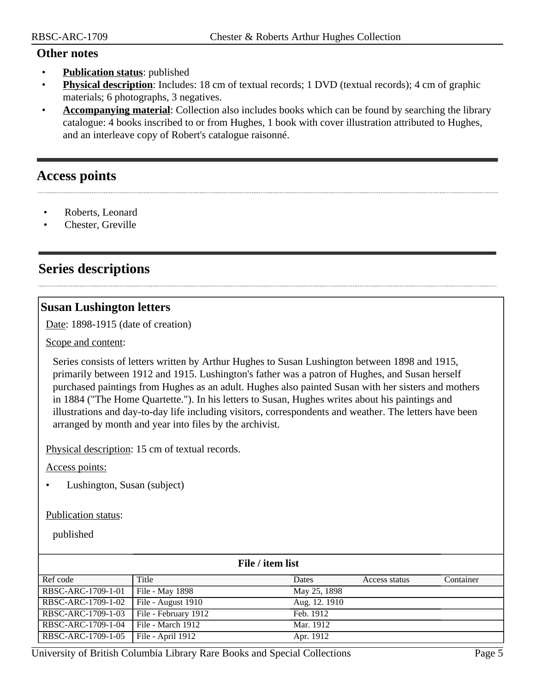#### **Other notes**

- **Publication status**: published
- **Physical description**: Includes: 18 cm of textual records; 1 DVD (textual records); 4 cm of graphic materials; 6 photographs, 3 negatives.
- **Accompanying material**: Collection also includes books which can be found by searching the library catalogue: 4 books inscribed to or from Hughes, 1 book with cover illustration attributed to Hughes, and an interleave copy of Robert's catalogue raisonné.

## <span id="page-4-0"></span>**Access points**

- Roberts, Leonard
- Chester, Greville

## <span id="page-4-1"></span>**Series descriptions**

#### <span id="page-4-2"></span>**Susan Lushington letters**

Date: 1898-1915 (date of creation)

Scope and content:

Series consists of letters written by Arthur Hughes to Susan Lushington between 1898 and 1915, primarily between 1912 and 1915. Lushington's father was a patron of Hughes, and Susan herself purchased paintings from Hughes as an adult. Hughes also painted Susan with her sisters and mothers in 1884 ("The Home Quartette."). In his letters to Susan, Hughes writes about his paintings and illustrations and day-to-day life including visitors, correspondents and weather. The letters have been arranged by month and year into files by the archivist.

Physical description: 15 cm of textual records.

Access points:

• Lushington, Susan (subject)

#### Publication status:

published

| File / item list   |                      |               |               |           |
|--------------------|----------------------|---------------|---------------|-----------|
| Ref code           | Title                | Dates         | Access status | Container |
| RBSC-ARC-1709-1-01 | File - May 1898      | May 25, 1898  |               |           |
| RBSC-ARC-1709-1-02 | File - August 1910   | Aug. 12. 1910 |               |           |
| RBSC-ARC-1709-1-03 | File - February 1912 | Feb. 1912     |               |           |
| RBSC-ARC-1709-1-04 | File - March 1912    | Mar. 1912     |               |           |
| RBSC-ARC-1709-1-05 | File - April 1912    | Apr. 1912     |               |           |

University of British Columbia Library Rare Books and Special Collections Page 5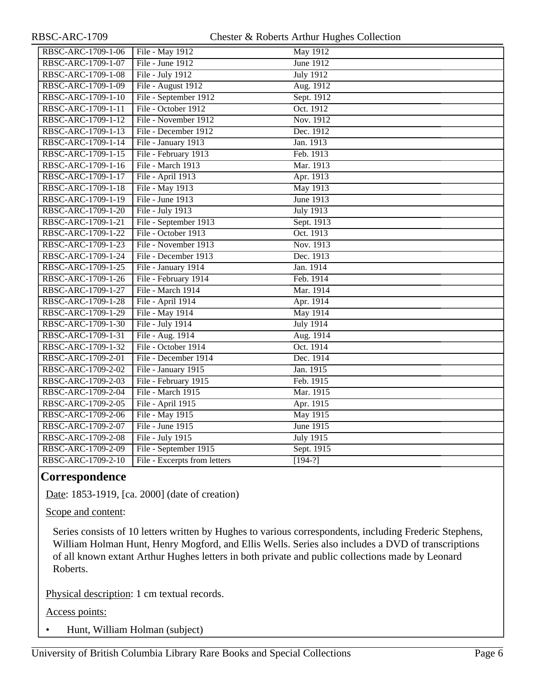| RBSC-ARC-1709-1-06 | File - May 1912              | May 1912         |
|--------------------|------------------------------|------------------|
| RBSC-ARC-1709-1-07 | File - June 1912             | June 1912        |
| RBSC-ARC-1709-1-08 | File - July 1912             | <b>July 1912</b> |
| RBSC-ARC-1709-1-09 | File - August 1912           | Aug. 1912        |
| RBSC-ARC-1709-1-10 | File - September 1912        | Sept. 1912       |
| RBSC-ARC-1709-1-11 | File - October 1912          | Oct. 1912        |
| RBSC-ARC-1709-1-12 | File - November 1912         | Nov. 1912        |
| RBSC-ARC-1709-1-13 | File - December 1912         | Dec. 1912        |
| RBSC-ARC-1709-1-14 | File - January 1913          | Jan. 1913        |
| RBSC-ARC-1709-1-15 | File - February 1913         | Feb. 1913        |
| RBSC-ARC-1709-1-16 | File - March 1913            | Mar. 1913        |
| RBSC-ARC-1709-1-17 | File - April 1913            | Apr. 1913        |
| RBSC-ARC-1709-1-18 | File - May 1913              | May 1913         |
| RBSC-ARC-1709-1-19 | File - June 1913             | <b>June 1913</b> |
| RBSC-ARC-1709-1-20 | File - July 1913             | <b>July 1913</b> |
| RBSC-ARC-1709-1-21 | File - September 1913        | Sept. 1913       |
| RBSC-ARC-1709-1-22 | File - October 1913          | Oct. 1913        |
| RBSC-ARC-1709-1-23 | File - November 1913         | Nov. 1913        |
| RBSC-ARC-1709-1-24 | File - December 1913         | Dec. 1913        |
| RBSC-ARC-1709-1-25 | File - January 1914          | Jan. 1914        |
| RBSC-ARC-1709-1-26 | File - February 1914         | Feb. 1914        |
| RBSC-ARC-1709-1-27 | File - March 1914            | Mar. 1914        |
| RBSC-ARC-1709-1-28 | File - April 1914            | Apr. 1914        |
| RBSC-ARC-1709-1-29 | File - May 1914              | May 1914         |
| RBSC-ARC-1709-1-30 | File - July 1914             | <b>July 1914</b> |
| RBSC-ARC-1709-1-31 | File - Aug. 1914             | Aug. 1914        |
| RBSC-ARC-1709-1-32 | File - October 1914          | Oct. 1914        |
| RBSC-ARC-1709-2-01 | File - December 1914         | Dec. 1914        |
| RBSC-ARC-1709-2-02 | File - January 1915          | Jan. 1915        |
| RBSC-ARC-1709-2-03 | File - February 1915         | Feb. 1915        |
| RBSC-ARC-1709-2-04 | File - March 1915            | Mar. 1915        |
| RBSC-ARC-1709-2-05 | File - April 1915            | Apr. 1915        |
| RBSC-ARC-1709-2-06 | File - May 1915              | <b>May 1915</b>  |
| RBSC-ARC-1709-2-07 | File - June 1915             | <b>June 1915</b> |
| RBSC-ARC-1709-2-08 | File - July 1915             | <b>July 1915</b> |
| RBSC-ARC-1709-2-09 | File - September 1915        | Sept. 1915       |
| RBSC-ARC-1709-2-10 | File - Excerpts from letters | $[194-?]$        |

## <span id="page-5-0"></span>**Correspondence**

Date: 1853-1919, [ca. 2000] (date of creation)

Scope and content:

Series consists of 10 letters written by Hughes to various correspondents, including Frederic Stephens, William Holman Hunt, Henry Mogford, and Ellis Wells. Series also includes a DVD of transcriptions of all known extant Arthur Hughes letters in both private and public collections made by Leonard Roberts.

Physical description: 1 cm textual records.

Access points:

• Hunt, William Holman (subject)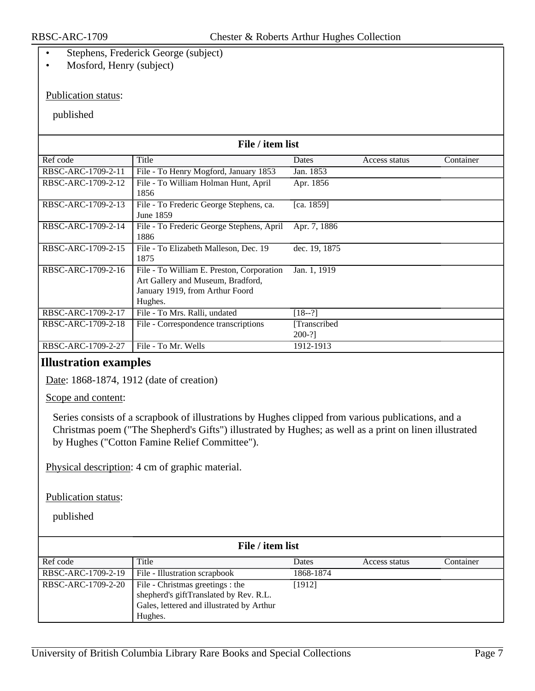- Stephens, Frederick George (subject)
- Mosford, Henry (subject)

#### Publication status:

#### published

| File / item list   |                                                                                                                              |                         |               |           |
|--------------------|------------------------------------------------------------------------------------------------------------------------------|-------------------------|---------------|-----------|
| Ref code           | Title                                                                                                                        | Dates                   | Access status | Container |
| RBSC-ARC-1709-2-11 | File - To Henry Mogford, January 1853                                                                                        | Jan. 1853               |               |           |
| RBSC-ARC-1709-2-12 | File - To William Holman Hunt, April<br>1856                                                                                 | Apr. 1856               |               |           |
| RBSC-ARC-1709-2-13 | File - To Frederic George Stephens, ca.<br>June 1859                                                                         | [ca. $1859$ ]           |               |           |
| RBSC-ARC-1709-2-14 | File - To Frederic George Stephens, April<br>1886                                                                            | Apr. 7, 1886            |               |           |
| RBSC-ARC-1709-2-15 | File - To Elizabeth Malleson, Dec. 19<br>1875                                                                                | dec. 19, 1875           |               |           |
| RBSC-ARC-1709-2-16 | File - To William E. Preston, Corporation<br>Art Gallery and Museum, Bradford,<br>January 1919, from Arthur Foord<br>Hughes. | Jan. 1, 1919            |               |           |
| RBSC-ARC-1709-2-17 | File - To Mrs. Ralli, undated                                                                                                | $[18-2]$                |               |           |
| RBSC-ARC-1709-2-18 | File - Correspondence transcriptions                                                                                         | [Transcribed]<br>200-?] |               |           |
| RBSC-ARC-1709-2-27 | File - To Mr. Wells                                                                                                          | 1912-1913               |               |           |

#### <span id="page-6-0"></span>**Illustration examples**

Date: 1868-1874, 1912 (date of creation)

Scope and content:

Series consists of a scrapbook of illustrations by Hughes clipped from various publications, and a Christmas poem ("The Shepherd's Gifts") illustrated by Hughes; as well as a print on linen illustrated by Hughes ("Cotton Famine Relief Committee").

Physical description: 4 cm of graphic material.

Publication status:

published

| File / item list   |                                                                                                                                    |              |               |           |  |
|--------------------|------------------------------------------------------------------------------------------------------------------------------------|--------------|---------------|-----------|--|
| Ref code           | Title                                                                                                                              | <b>Dates</b> | Access status | Container |  |
| RBSC-ARC-1709-2-19 | File - Illustration scrapbook                                                                                                      | 1868-1874    |               |           |  |
| RBSC-ARC-1709-2-20 | File - Christmas greetings : the<br>shepherd's giftTranslated by Rev. R.L.<br>Gales, lettered and illustrated by Arthur<br>Hughes. | [1912]       |               |           |  |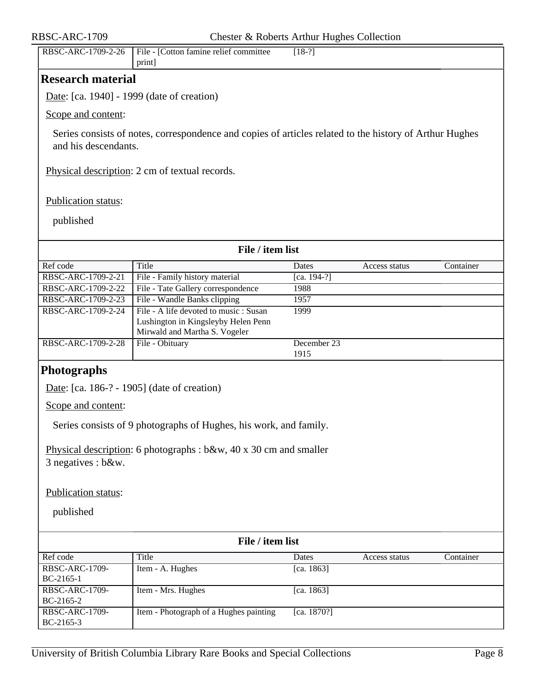<span id="page-7-1"></span><span id="page-7-0"></span>

| RBSC-ARC-1709                      | Chester & Roberts Arthur Hughes Collection                                                                    |                     |               |           |  |  |
|------------------------------------|---------------------------------------------------------------------------------------------------------------|---------------------|---------------|-----------|--|--|
| RBSC-ARC-1709-2-26                 | File - [Cotton famine relief committee<br>$[18-2]$<br>print]                                                  |                     |               |           |  |  |
| <b>Research material</b>           |                                                                                                               |                     |               |           |  |  |
|                                    | Date: [ca. 1940] - 1999 (date of creation)                                                                    |                     |               |           |  |  |
| Scope and content:                 |                                                                                                               |                     |               |           |  |  |
| and his descendants.               | Series consists of notes, correspondence and copies of articles related to the history of Arthur Hughes       |                     |               |           |  |  |
|                                    | Physical description: 2 cm of textual records.                                                                |                     |               |           |  |  |
| Publication status:                |                                                                                                               |                     |               |           |  |  |
| published                          |                                                                                                               |                     |               |           |  |  |
|                                    | File / item list                                                                                              |                     |               |           |  |  |
| Ref code                           | <b>Title</b>                                                                                                  | Dates               | Access status | Container |  |  |
| RBSC-ARC-1709-2-21                 | File - Family history material                                                                                | $[ca. 194-?]$       |               |           |  |  |
| RBSC-ARC-1709-2-22                 | File - Tate Gallery correspondence                                                                            | 1988                |               |           |  |  |
| RBSC-ARC-1709-2-23                 | File - Wandle Banks clipping                                                                                  | 1957                |               |           |  |  |
| RBSC-ARC-1709-2-24                 | File - A life devoted to music: Susan<br>Lushington in Kingsleyby Helen Penn<br>Mirwald and Martha S. Vogeler | 1999                |               |           |  |  |
| RBSC-ARC-1709-2-28                 | File - Obituary                                                                                               | December 23<br>1915 |               |           |  |  |
| <b>Photographs</b>                 |                                                                                                               |                     |               |           |  |  |
|                                    | Date: [ca. 186-? - 1905] (date of creation)                                                                   |                     |               |           |  |  |
| Scope and content:                 |                                                                                                               |                     |               |           |  |  |
|                                    | Series consists of 9 photographs of Hughes, his work, and family.                                             |                     |               |           |  |  |
| 3 negatives : b&w.                 | Physical description: 6 photographs : $b\&w$ , 40 x 30 cm and smaller                                         |                     |               |           |  |  |
| Publication status:                |                                                                                                               |                     |               |           |  |  |
| published                          |                                                                                                               |                     |               |           |  |  |
| File / item list                   |                                                                                                               |                     |               |           |  |  |
| Ref code                           | Title                                                                                                         | Dates               | Access status | Container |  |  |
| RBSC-ARC-1709-<br>BC-2165-1        | Item - A. Hughes                                                                                              | [ca. 1863]          |               |           |  |  |
| <b>RBSC-ARC-1709-</b><br>BC-2165-2 | Item - Mrs. Hughes                                                                                            | [ca. 1863]          |               |           |  |  |
| <b>RBSC-ARC-1709-</b><br>BC-2165-3 | Item - Photograph of a Hughes painting                                                                        | [ca. 1870?]         |               |           |  |  |